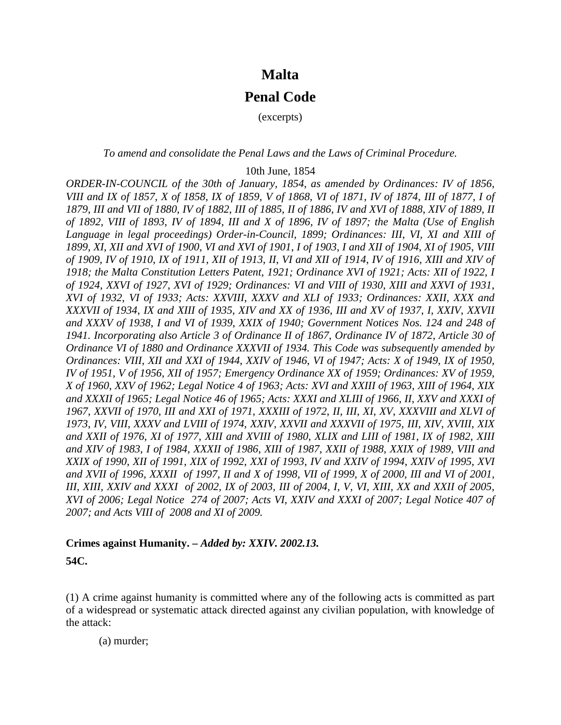# **Malta**

# **Penal Code**

(excerpts)

*To amend and consolidate the Penal Laws and the Laws of Criminal Procedure.*

10th June, 1854

*ORDER-IN-COUNCIL of the 30th of January, 1854*, *as amended by Ordinances: IV of 1856*, *VIII and IX of 1857*, *X of 1858*, *IX of 1859*, *V of 1868*, *VI of 1871*, *IV of 1874*, *III of 1877*, *I of 1879*, *III and VII of 1880*, *IV of 1882*, *III of 1885*, *II of 1886*, *IV and XVI of 1888*, *XIV of 1889*, *II of 1892*, *VIII of 1893*, *IV of 1894*, *III and X of 1896*, *IV of 1897; the Malta (Use of English Language in legal proceedings) Order-in-Council, 1899; Ordinances: III*, *VI*, *XI and XIII of 1899*, *XI*, *XII and XVI of 1900*, *VI and XVI of 1901*, *I of 1903*, *I and XII of 1904*, *XI of 1905*, *VIII of 1909*, *IV of 1910*, *IX of 1911*, *XII of 1913*, *II*, *VI and XII of 1914*, *IV of 1916*, *XIII and XIV of 1918; the Malta Constitution Letters Patent*, *1921; Ordinance XVI of 1921; Acts: XII of 1922*, *I of 1924*, *XXVI of 1927*, *XVI of 1929; Ordinances: VI and VIII of 1930*, *XIII and XXVI of 1931*, *XVI of 1932*, *VI of 1933; Acts: XXVIII*, *XXXV and XLI of 1933; Ordinances: XXII*, *XXX and XXXVII of 1934*, *IX and XIII of 1935*, *XIV and XX of 1936*, *III and XV of 1937*, *I*, *XXIV*, *XXVII and XXXV of 1938*, *I and VI of 1939*, *XXIX of 1940; Government Notices Nos. 124 and 248 of 1941. Incorporating also Article 3 of Ordinance II of 1867*, *Ordinance IV of 1872*, *Article 30 of Ordinance VI of 1880 and Ordinance XXXVII of 1934. This Code was subsequently amended by Ordinances: VIII*, *XII and XXI of 1944*, *XXIV of 1946*, *VI of 1947; Acts: X of 1949*, *IX of 1950*, *IV of 1951*, *V of 1956*, *XII of 1957; Emergency Ordinance XX of 1959; Ordinances: XV of 1959*, *X of 1960*, *XXV of 1962; Legal Notice 4 of 1963; Acts: XVI and XXIII of 1963*, *XIII of 1964*, *XIX and XXXII of 1965; Legal Notice 46 of 1965; Acts: XXXI and XLIII of 1966*, *II*, *XXV and XXXI of 1967*, *XXVII of 1970*, *III and XXI of 1971*, *XXXIII of 1972*, *II*, *III*, *XI*, *XV*, *XXXVIII and XLVI of 1973*, *IV*, *VIII*, *XXXV and LVIII of 1974*, *XXIV*, *XXVII and XXXVII of 1975*, *III*, *XIV*, *XVIII*, *XIX and XXII of 1976*, *XI of 1977*, *XIII and XVIII of 1980*, *XLIX and LIII of 1981*, *IX of 1982*, *XIII and XIV of 1983*, *I of 1984*, *XXXII of 1986*, *XIII of 1987*, *XXII of 1988*, *XXIX of 1989*, *VIII and XXIX of 1990*, *XII of 1991*, *XIX of 1992*, *XXI of 1993*, *IV and XXIV of 1994*, *XXIV of 1995*, *XVI and XVII of 1996, XXXII of 1997, II and X of 1998, VII of 1999, X of 2000, III and VI of 2001, III, XIII, XXIV and XXXI of 2002, IX of 2003, III of 2004, I, V, VI, XIII, XX and XXII of 2005, XVI of 2006; Legal Notice 274 of 2007; Acts VI, XXIV and XXXI of 2007; Legal Notice 407 of 2007; and Acts VIII of 2008 and XI of 2009.*

#### **Crimes against Humanity. –** *Added by: XXIV. 2002.13.*

**54C.** 

(1) A crime against humanity is committed where any of the following acts is committed as part of a widespread or systematic attack directed against any civilian population, with knowledge of the attack:

(a) murder;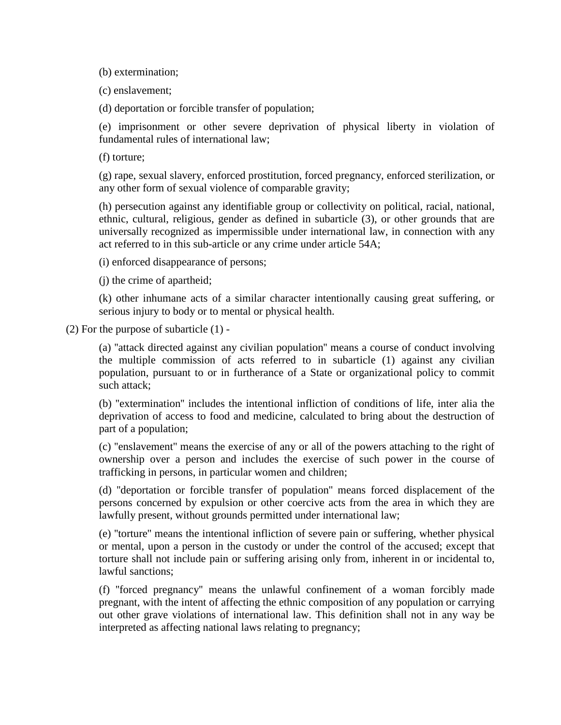(b) extermination;

(c) enslavement;

(d) deportation or forcible transfer of population;

(e) imprisonment or other severe deprivation of physical liberty in violation of fundamental rules of international law;

(f) torture;

(g) rape, sexual slavery, enforced prostitution, forced pregnancy, enforced sterilization, or any other form of sexual violence of comparable gravity;

(h) persecution against any identifiable group or collectivity on political, racial, national, ethnic, cultural, religious, gender as defined in subarticle (3), or other grounds that are universally recognized as impermissible under international law, in connection with any act referred to in this sub-article or any crime under article 54A;

(i) enforced disappearance of persons;

(j) the crime of apartheid;

(k) other inhumane acts of a similar character intentionally causing great suffering, or serious injury to body or to mental or physical health.

(2) For the purpose of subarticle (1) -

(a) ''attack directed against any civilian population'' means a course of conduct involving the multiple commission of acts referred to in subarticle (1) against any civilian population, pursuant to or in furtherance of a State or organizational policy to commit such attack;

(b) ''extermination'' includes the intentional infliction of conditions of life, inter alia the deprivation of access to food and medicine, calculated to bring about the destruction of part of a population;

(c) ''enslavement'' means the exercise of any or all of the powers attaching to the right of ownership over a person and includes the exercise of such power in the course of trafficking in persons, in particular women and children;

(d) ''deportation or forcible transfer of population'' means forced displacement of the persons concerned by expulsion or other coercive acts from the area in which they are lawfully present, without grounds permitted under international law;

(e) ''torture'' means the intentional infliction of severe pain or suffering, whether physical or mental, upon a person in the custody or under the control of the accused; except that torture shall not include pain or suffering arising only from, inherent in or incidental to, lawful sanctions;

(f) ''forced pregnancy'' means the unlawful confinement of a woman forcibly made pregnant, with the intent of affecting the ethnic composition of any population or carrying out other grave violations of international law. This definition shall not in any way be interpreted as affecting national laws relating to pregnancy;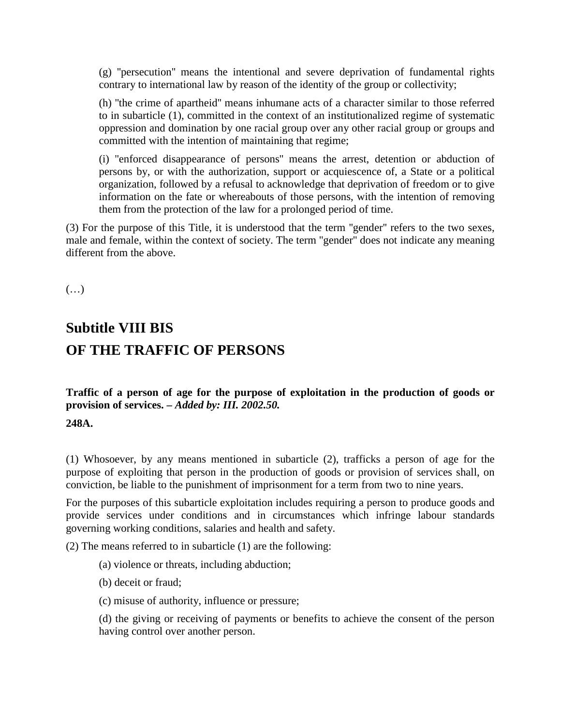(g) ''persecution'' means the intentional and severe deprivation of fundamental rights contrary to international law by reason of the identity of the group or collectivity;

(h) ''the crime of apartheid'' means inhumane acts of a character similar to those referred to in subarticle (1), committed in the context of an institutionalized regime of systematic oppression and domination by one racial group over any other racial group or groups and committed with the intention of maintaining that regime;

(i) ''enforced disappearance of persons'' means the arrest, detention or abduction of persons by, or with the authorization, support or acquiescence of, a State or a political organization, followed by a refusal to acknowledge that deprivation of freedom or to give information on the fate or whereabouts of those persons, with the intention of removing them from the protection of the law for a prolonged period of time.

(3) For the purpose of this Title, it is understood that the term ''gender'' refers to the two sexes, male and female, within the context of society. The term ''gender'' does not indicate any meaning different from the above.

(…)

# **Subtitle VIII BIS OF THE TRAFFIC OF PERSONS**

**Traffic of a person of age for the purpose of exploitation in the production of goods or provision of services. –** *Added by: III. 2002.50.*

## **248A.**

(1) Whosoever, by any means mentioned in subarticle (2), trafficks a person of age for the purpose of exploiting that person in the production of goods or provision of services shall, on conviction, be liable to the punishment of imprisonment for a term from two to nine years.

For the purposes of this subarticle exploitation includes requiring a person to produce goods and provide services under conditions and in circumstances which infringe labour standards governing working conditions, salaries and health and safety.

(2) The means referred to in subarticle (1) are the following:

- (a) violence or threats, including abduction;
- (b) deceit or fraud;
- (c) misuse of authority, influence or pressure;

(d) the giving or receiving of payments or benefits to achieve the consent of the person having control over another person.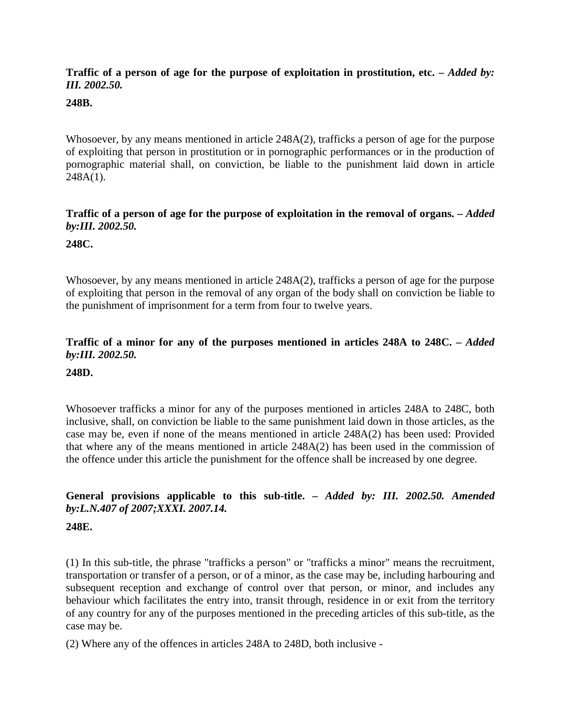## **Traffic of a person of age for the purpose of exploitation in prostitution, etc. –** *Added by: III. 2002.50.*

#### **248B.**

Whosoever, by any means mentioned in article 248A(2), trafficks a person of age for the purpose of exploiting that person in prostitution or in pornographic performances or in the production of pornographic material shall, on conviction, be liable to the punishment laid down in article  $248A(1)$ .

## **Traffic of a person of age for the purpose of exploitation in the removal of organs. –** *Added by:III. 2002.50.*

**248C.** 

Whosoever, by any means mentioned in article 248A(2), trafficks a person of age for the purpose of exploiting that person in the removal of any organ of the body shall on conviction be liable to the punishment of imprisonment for a term from four to twelve years.

## **Traffic of a minor for any of the purposes mentioned in articles 248A to 248C. –** *Added by:III. 2002.50.*

**248D.** 

Whosoever trafficks a minor for any of the purposes mentioned in articles 248A to 248C, both inclusive, shall, on conviction be liable to the same punishment laid down in those articles, as the case may be, even if none of the means mentioned in article 248A(2) has been used: Provided that where any of the means mentioned in article 248A(2) has been used in the commission of the offence under this article the punishment for the offence shall be increased by one degree.

# **General provisions applicable to this sub-title. –** *Added by: III. 2002.50. Amended by:L.N.407 of 2007;XXXI. 2007.14.*

#### **248E.**

(1) In this sub-title, the phrase "trafficks a person" or "trafficks a minor" means the recruitment, transportation or transfer of a person, or of a minor, as the case may be, including harbouring and subsequent reception and exchange of control over that person, or minor, and includes any behaviour which facilitates the entry into, transit through, residence in or exit from the territory of any country for any of the purposes mentioned in the preceding articles of this sub-title, as the case may be.

(2) Where any of the offences in articles 248A to 248D, both inclusive -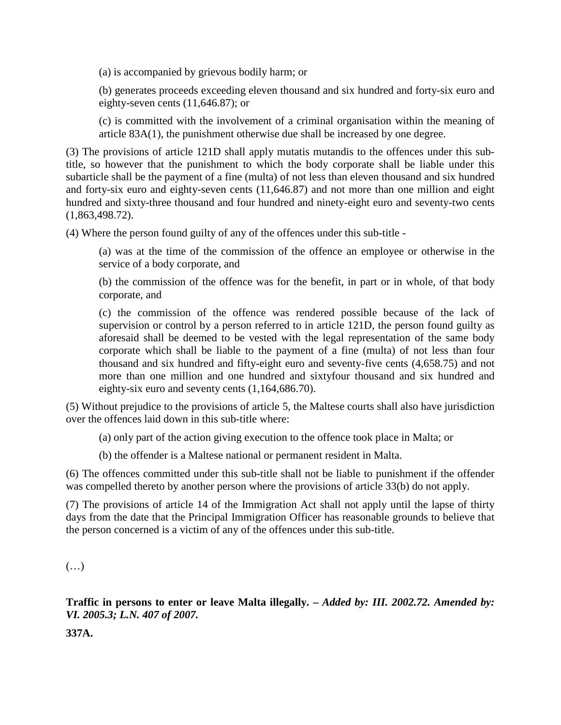(a) is accompanied by grievous bodily harm; or

(b) generates proceeds exceeding eleven thousand and six hundred and forty-six euro and eighty-seven cents (11,646.87); or

(c) is committed with the involvement of a criminal organisation within the meaning of article 83A(1), the punishment otherwise due shall be increased by one degree.

(3) The provisions of article 121D shall apply mutatis mutandis to the offences under this subtitle, so however that the punishment to which the body corporate shall be liable under this subarticle shall be the payment of a fine (multa) of not less than eleven thousand and six hundred and forty-six euro and eighty-seven cents (11,646.87) and not more than one million and eight hundred and sixty-three thousand and four hundred and ninety-eight euro and seventy-two cents (1,863,498.72).

(4) Where the person found guilty of any of the offences under this sub-title -

(a) was at the time of the commission of the offence an employee or otherwise in the service of a body corporate, and

(b) the commission of the offence was for the benefit, in part or in whole, of that body corporate, and

(c) the commission of the offence was rendered possible because of the lack of supervision or control by a person referred to in article 121D, the person found guilty as aforesaid shall be deemed to be vested with the legal representation of the same body corporate which shall be liable to the payment of a fine (multa) of not less than four thousand and six hundred and fifty-eight euro and seventy-five cents (4,658.75) and not more than one million and one hundred and sixtyfour thousand and six hundred and eighty-six euro and seventy cents (1,164,686.70).

(5) Without prejudice to the provisions of article 5, the Maltese courts shall also have jurisdiction over the offences laid down in this sub-title where:

(a) only part of the action giving execution to the offence took place in Malta; or

(b) the offender is a Maltese national or permanent resident in Malta.

(6) The offences committed under this sub-title shall not be liable to punishment if the offender was compelled thereto by another person where the provisions of article 33(b) do not apply.

(7) The provisions of article 14 of the Immigration Act shall not apply until the lapse of thirty days from the date that the Principal Immigration Officer has reasonable grounds to believe that the person concerned is a victim of any of the offences under this sub-title.

 $(\ldots)$ 

**Traffic in persons to enter or leave Malta illegally. –** *Added by: III. 2002.72. Amended by: VI. 2005.3; L.N. 407 of 2007.*

**337A.**